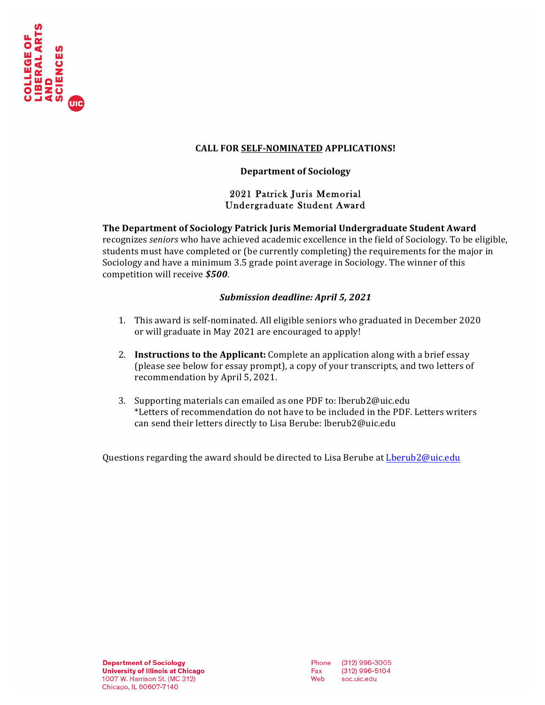

#### **CALL FOR SELF-NOMINATED APPLICATIONS!**

#### **Department of Sociology**

#### 2021 Patrick Juris Memorial Undergraduate Student Award

### **The Department of Sociology Patrick Juris Memorial Undergraduate Student Award**

recognizes *seniors* who have achieved academic excellence in the field of Sociology. To be eligible, students must have completed or (be currently completing) the requirements for the major in Sociology and have a minimum 3.5 grade point average in Sociology. The winner of this competition will receive **\$500**.

#### *Submission deadline: April 5, 2021*

- 1. This award is self-nominated. All eligible seniors who graduated in December 2020 or will graduate in May 2021 are encouraged to apply!
- 2. **Instructions to the Applicant:** Complete an application along with a brief essay (please see below for essay prompt), a copy of your transcripts, and two letters of recommendation by April 5, 2021.
- 3. Supporting materials can emailed as one PDF to: lberub2@uic.edu \*Letters of recommendation do not have to be included in the PDF. Letters writers can send their letters directly to Lisa Berube: lberub2@uic.edu

Questions regarding the award should be directed to Lisa Berube at Lberub2@uic.edu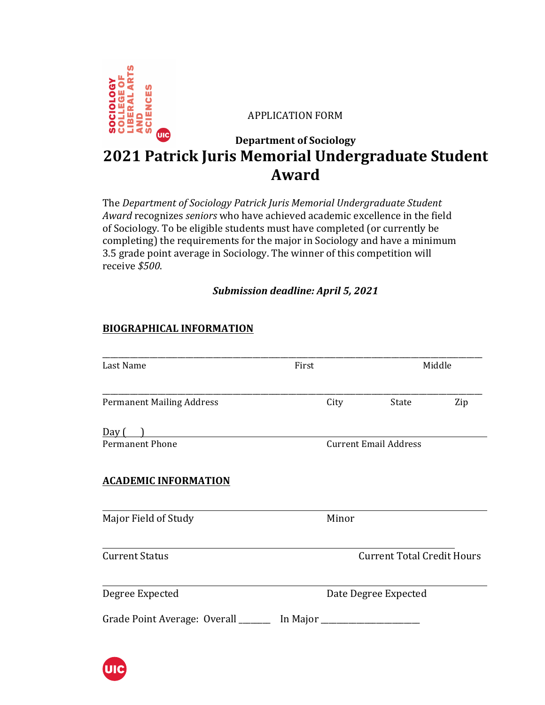

**APPLICATION FORM** 

# **Department of Sociology 2021 Patrick Juris Memorial Undergraduate Student Award**

The *Department of Sociology Patrick Juris Memorial Undergraduate Student Award* recognizes *seniors* who have achieved academic excellence in the field of Sociology. To be eligible students must have completed (or currently be completing) the requirements for the major in Sociology and have a minimum 3.5 grade point average in Sociology. The winner of this competition will receive *\$500*.

## *Submission deadline: April 5, 2021*

## **BIOGRAPHICAL INFORMATION**

| Last Name                           | First      |                                   | Middle               |     |
|-------------------------------------|------------|-----------------------------------|----------------------|-----|
| <b>Permanent Mailing Address</b>    |            | City                              | State                | Zip |
| Day $\left( \quad \right)$          |            |                                   |                      |     |
| <b>Permanent Phone</b>              |            | <b>Current Email Address</b>      |                      |     |
| <b>ACADEMIC INFORMATION</b>         |            |                                   |                      |     |
| Major Field of Study                |            | Minor                             |                      |     |
| <b>Current Status</b>               |            | <b>Current Total Credit Hours</b> |                      |     |
| Degree Expected                     |            |                                   | Date Degree Expected |     |
| Grade Point Average: Overall ______ | In Major _ |                                   |                      |     |

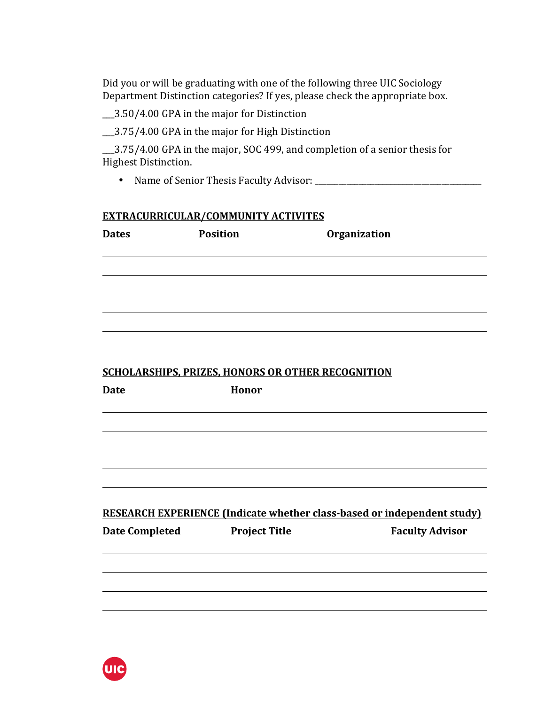Did you or will be graduating with one of the following three UIC Sociology Department Distinction categories? If yes, please check the appropriate box.

\_\_3.50/4.00 GPA in the major for Distinction

\_\_3.75/4.00 GPA in the major for High Distinction

1.2.75/4.00 GPA in the major, SOC 499, and completion of a senior thesis for Highest Distinction.

• Name of Senior Thesis Faculty Advisor: \_\_\_\_\_\_\_\_\_\_\_\_\_\_\_\_\_\_\_\_\_\_\_\_\_\_\_\_\_\_\_\_\_\_\_\_\_\_\_\_\_\_

## **EXTRACURRICULAR/COMMUNITY ACTIVITES**

| <b>Dates</b>          | <b>Position</b>                                          | Organization                                                            |
|-----------------------|----------------------------------------------------------|-------------------------------------------------------------------------|
|                       |                                                          |                                                                         |
|                       |                                                          |                                                                         |
|                       |                                                          |                                                                         |
|                       |                                                          |                                                                         |
|                       | <b>SCHOLARSHIPS, PRIZES, HONORS OR OTHER RECOGNITION</b> |                                                                         |
| <b>Date</b>           | Honor                                                    |                                                                         |
|                       |                                                          |                                                                         |
|                       |                                                          |                                                                         |
|                       |                                                          |                                                                         |
|                       |                                                          | RESEARCH EXPERIENCE (Indicate whether class-based or independent study) |
| <b>Date Completed</b> | <b>Project Title</b>                                     | <b>Faculty Advisor</b>                                                  |
|                       |                                                          |                                                                         |
|                       |                                                          |                                                                         |
|                       |                                                          |                                                                         |

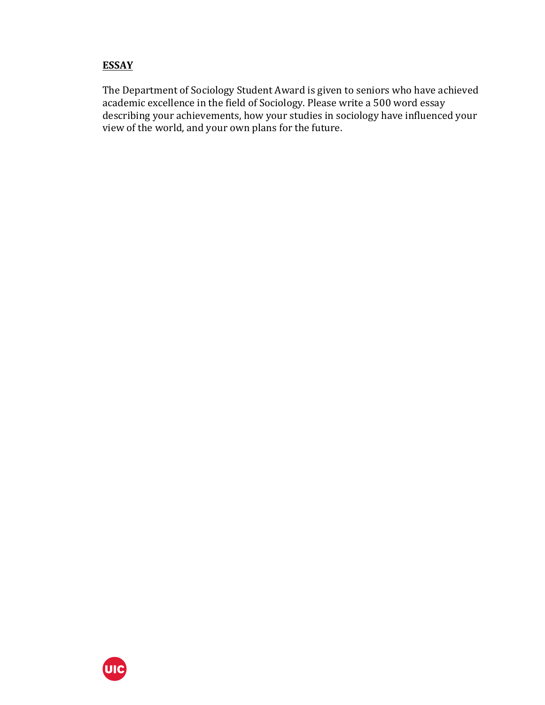## **ESSAY**

The Department of Sociology Student Award is given to seniors who have achieved academic excellence in the field of Sociology. Please write a 500 word essay describing your achievements, how your studies in sociology have influenced your view of the world, and your own plans for the future.